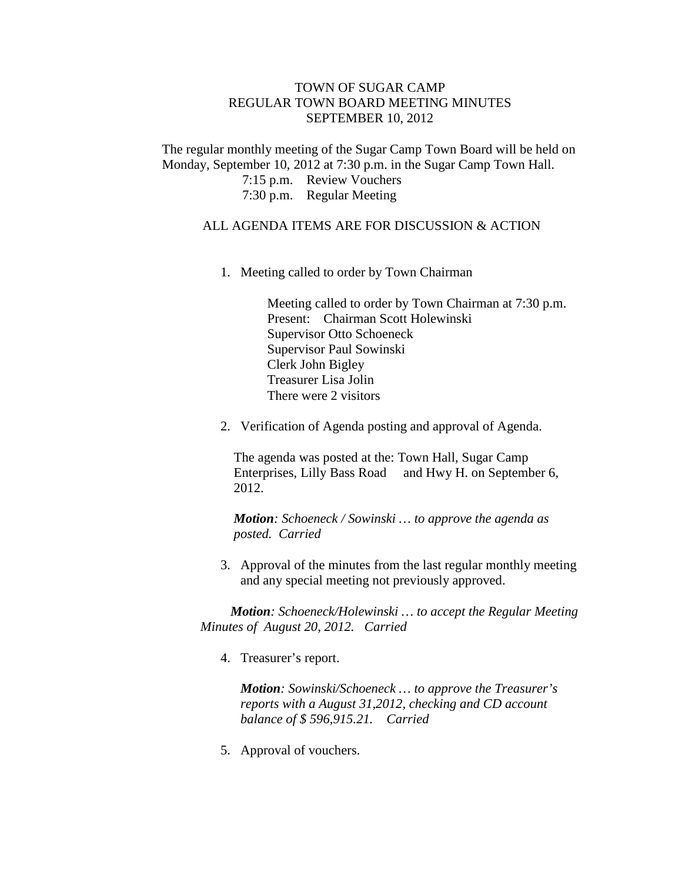## TOWN OF SUGAR CAMP REGULAR TOWN BOARD MEETING MINUTES SEPTEMBER 10, 2012

The regular monthly meeting of the Sugar Camp Town Board will be held on Monday, September 10, 2012 at 7:30 p.m. in the Sugar Camp Town Hall.

7:15 p.m. Review Vouchers

7:30 p.m. Regular Meeting

## ALL AGENDA ITEMS ARE FOR DISCUSSION & ACTION

1. Meeting called to order by Town Chairman

Meeting called to order by Town Chairman at 7:30 p.m. Present: Chairman Scott Holewinski Supervisor Otto Schoeneck Supervisor Paul Sowinski Clerk John Bigley Treasurer Lisa Jolin There were 2 visitors

2. Verification of Agenda posting and approval of Agenda.

The agenda was posted at the: Town Hall, Sugar Camp Enterprises, Lilly Bass Road and Hwy H. on September 6, 2012.

*Motion: Schoeneck / Sowinski … to approve the agenda as posted. Carried*

3. Approval of the minutes from the last regular monthly meeting and any special meeting not previously approved.

*Motion: Schoeneck/Holewinski … to accept the Regular Meeting Minutes of August 20, 2012. Carried*

4. Treasurer's report.

*Motion: Sowinski/Schoeneck … to approve the Treasurer's reports with a August 31,2012, checking and CD account balance of \$ 596,915.21. Carried*

5. Approval of vouchers.